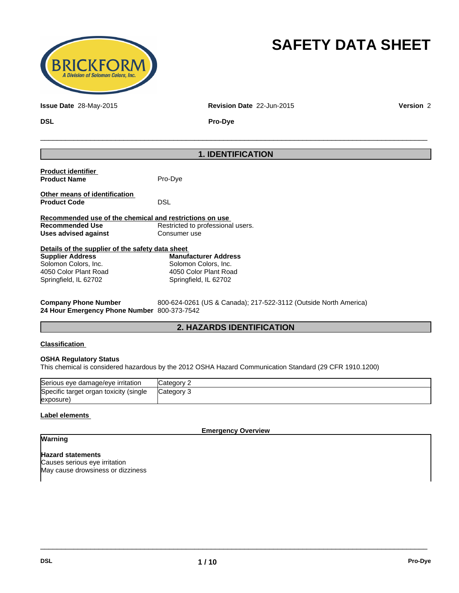

# **SAFETY DATA SHEET**

**Issue Date** 28-May-2015 **Revision Date** 22-Jun-2015 **Version** 2

 $\overline{\phantom{a}}$  ,  $\overline{\phantom{a}}$  ,  $\overline{\phantom{a}}$  ,  $\overline{\phantom{a}}$  ,  $\overline{\phantom{a}}$  ,  $\overline{\phantom{a}}$  ,  $\overline{\phantom{a}}$  ,  $\overline{\phantom{a}}$  ,  $\overline{\phantom{a}}$  ,  $\overline{\phantom{a}}$  ,  $\overline{\phantom{a}}$  ,  $\overline{\phantom{a}}$  ,  $\overline{\phantom{a}}$  ,  $\overline{\phantom{a}}$  ,  $\overline{\phantom{a}}$  ,  $\overline{\phantom{a}}$ 

**DSL Pro-Dye**

## **1. IDENTIFICATION**

| <b>Product identifier</b><br><b>Product Name</b>        | Pro-Dye                           |  |
|---------------------------------------------------------|-----------------------------------|--|
| Other means of identification<br><b>Product Code</b>    | <b>DSL</b>                        |  |
| Recommended use of the chemical and restrictions on use |                                   |  |
| Recommended Use                                         | Restricted to professional users. |  |
| Uses advised against                                    | Consumer use                      |  |
| Details of the supplier of the safety data sheet        |                                   |  |
| <b>Supplier Address</b>                                 | <b>Manufacturer Address</b>       |  |
| Solomon Colors, Inc.                                    | Solomon Colors, Inc.              |  |
| 4050 Color Plant Road                                   | 4050 Color Plant Road             |  |
| Springfield, IL 62702                                   | Springfield, IL 62702             |  |

**Company Phone Number** 800-624-0261 (US & Canada); 217-522-3112 (Outside North America) **24 Hour Emergency Phone Number** 800-373-7542

## **2. HAZARDS IDENTIFICATION**

#### **Classification**

#### **OSHA Regulatory Status**

This chemical is considered hazardous by the 2012 OSHA Hazard Communication Standard (29 CFR 1910.1200)

| Serious eye damage/eye irritation      | <b>Category 2</b> |
|----------------------------------------|-------------------|
| Specific target organ toxicity (single | Category 3        |
| (exposure                              |                   |

#### **Label elements**

**Emergency Overview**

 $\overline{\phantom{a}}$  ,  $\overline{\phantom{a}}$  ,  $\overline{\phantom{a}}$  ,  $\overline{\phantom{a}}$  ,  $\overline{\phantom{a}}$  ,  $\overline{\phantom{a}}$  ,  $\overline{\phantom{a}}$  ,  $\overline{\phantom{a}}$  ,  $\overline{\phantom{a}}$  ,  $\overline{\phantom{a}}$  ,  $\overline{\phantom{a}}$  ,  $\overline{\phantom{a}}$  ,  $\overline{\phantom{a}}$  ,  $\overline{\phantom{a}}$  ,  $\overline{\phantom{a}}$  ,  $\overline{\phantom{a}}$ 

## **Warning**

**Hazard statements** Causes serious eye irritation May cause drowsiness or dizziness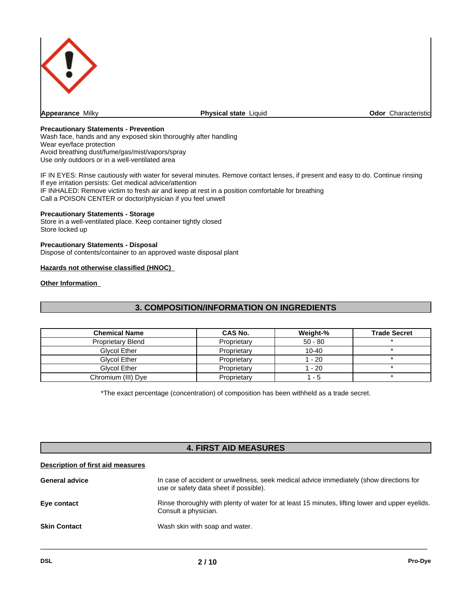

**Appearance** Milky

**Physical state Liquid Construction Characteristic** Characteristic

#### **Precautionary Statements - Prevention**

Wash face, hands and any exposed skin thoroughly after handling Wear eye/face protection Avoid breathing dust/fume/gas/mist/vapors/spray Use only outdoors or in a well-ventilated area

IF IN EYES: Rinse cautiously with water for several minutes. Remove contact lenses, if present and easy to do. Continue rinsing If eye irritation persists: Get medical advice/attention IF INHALED: Remove victim to fresh air and keep at rest in a position comfortable for breathing Call a POISON CENTER or doctor/physician if you feel unwell

#### **Precautionary Statements - Storage**

Store in a well-ventilated place. Keep container tightly closed Store locked up

#### **Precautionary Statements - Disposal**

Dispose of contents/container to an approved waste disposal plant

#### **Hazards not otherwise classified (HNOC)**

#### **Other Information**

## **3. COMPOSITION/INFORMATION ON INGREDIENTS**

| <b>Chemical Name</b>     | CAS No.     | Weight-%  | <b>Trade Secret</b> |
|--------------------------|-------------|-----------|---------------------|
| <b>Proprietary Blend</b> | Proprietary | $50 - 80$ |                     |
| Glycol Ether             | Proprietary | $10 - 40$ |                     |
| Glycol Ether             | Proprietary | 1 - 20    |                     |
| Glycol Ether             | Proprietary | 1 - 20    |                     |
| Chromium (III) Dye       | Proprietary | -5        |                     |

\*The exact percentage (concentration) of composition has been withheld as a trade secret.

## **4. FIRST AID MEASURES**

#### **Description of first aid measures**

| <b>General advice</b> | In case of accident or unwellness, seek medical advice immediately (show directions for<br>use or safety data sheet if possible). |
|-----------------------|-----------------------------------------------------------------------------------------------------------------------------------|
| Eye contact           | Rinse thoroughly with plenty of water for at least 15 minutes, lifting lower and upper eyelids.<br>Consult a physician.           |
| <b>Skin Contact</b>   | Wash skin with soap and water.                                                                                                    |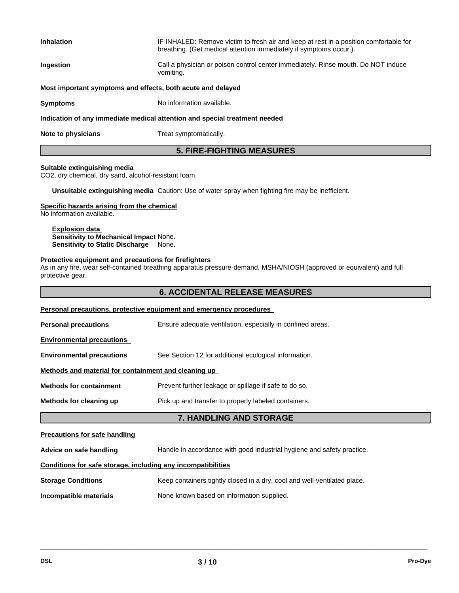| <b>Inhalation</b>                                                          | IF INHALED: Remove victim to fresh air and keep at rest in a position comfortable for<br>breathing. (Get medical attention immediately if symptoms occur.). |  |
|----------------------------------------------------------------------------|-------------------------------------------------------------------------------------------------------------------------------------------------------------|--|
| Ingestion                                                                  | Call a physician or poison control center immediately. Rinse mouth. Do NOT induce<br>vomiting.                                                              |  |
| Most important symptoms and effects, both acute and delayed                |                                                                                                                                                             |  |
| <b>Symptoms</b>                                                            | No information available.                                                                                                                                   |  |
| Indication of any immediate medical attention and special treatment needed |                                                                                                                                                             |  |
| Note to physicians                                                         | Treat symptomatically.                                                                                                                                      |  |

# **5. FIRE-FIGHTING MEASURES**

#### **Suitable extinguishing media**

CO2, dry chemical, dry sand, alcohol-resistant foam.

**Unsuitable extinguishing media** Caution: Use of water spray when fighting fire may be inefficient.

#### **Specific hazards arising from the chemical**

No information available.

**Explosion data Sensitivity to Mechanical Impact** None. **Sensitivity to Static Discharge** None.

#### **Protective equipment and precautions for firefighters**

As in any fire, wear self-contained breathing apparatus pressure-demand, MSHA/NIOSH (approved or equivalent) and full protective gear.

| <b>6. ACCIDENTAL RELEASE MEASURES</b> |
|---------------------------------------|
|                                       |

| Personal precautions, protective equipment and emergency procedures                                   |                                                            |  |  |
|-------------------------------------------------------------------------------------------------------|------------------------------------------------------------|--|--|
| <b>Personal precautions</b>                                                                           | Ensure adequate ventilation, especially in confined areas. |  |  |
| <b>Environmental precautions</b>                                                                      |                                                            |  |  |
| <b>Environmental precautions</b>                                                                      | See Section 12 for additional ecological information.      |  |  |
| Methods and material for containment and cleaning up                                                  |                                                            |  |  |
| Prevent further leakage or spillage if safe to do so.<br><b>Methods for containment</b>               |                                                            |  |  |
| Methods for cleaning up<br>Pick up and transfer to properly labeled containers.                       |                                                            |  |  |
|                                                                                                       | <b>7. HANDLING AND STORAGE</b>                             |  |  |
| <b>Precautions for safe handling</b>                                                                  |                                                            |  |  |
| Handle in accordance with good industrial hygiene and safety practice.<br>Advice on safe handling     |                                                            |  |  |
| Conditions for safe storage, including any incompatibilities                                          |                                                            |  |  |
| Keep containers tightly closed in a dry, cool and well-ventilated place.<br><b>Storage Conditions</b> |                                                            |  |  |
| Incompatible materials                                                                                | None known based on information supplied.                  |  |  |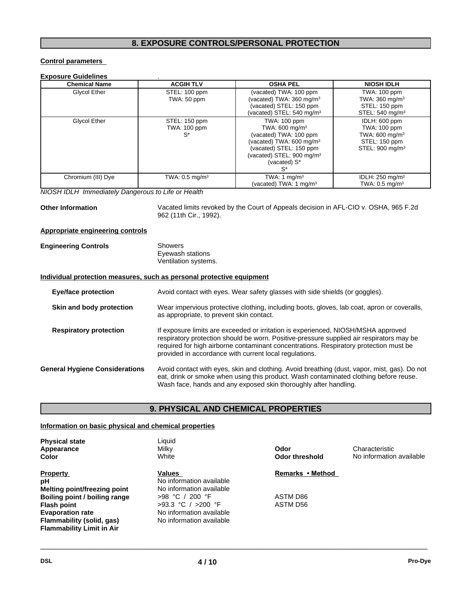## **8. EXPOSURE CONTROLS/PERSONAL PROTECTION**

#### **Control parameters**

#### **Exposure Guidelines** .

| <b>Chemical Name</b> | <b>ACGIH TLV</b>             | <b>OSHA PEL</b>                      | <b>NIOSH IDLH</b>             |
|----------------------|------------------------------|--------------------------------------|-------------------------------|
| Glycol Ether         | STEL: 100 ppm                | (vacated) TWA: 100 ppm               | TWA: 100 ppm                  |
|                      | TWA: 50 ppm                  | (vacated) TWA: $360 \text{ mg/m}^3$  | TWA: $360 \text{ mg/m}^3$     |
|                      |                              | (vacated) STEL: 150 ppm              | STEL: 150 ppm                 |
|                      |                              | (vacated) STEL: $540 \text{ mg/m}^3$ | STEL: $540 \text{ mg/m}^3$    |
| Glycol Ether         | STEL: 150 ppm                | TWA: 100 ppm                         | IDLH: 600 ppm                 |
|                      | <b>TWA: 100 ppm</b>          | TWA: 600 mg/m <sup>3</sup>           | <b>TWA: 100 ppm</b>           |
|                      | $S^*$                        | (vacated) TWA: 100 ppm               | TWA: $600 \text{ mg/m}^3$     |
|                      |                              | (vacated) TWA: 600 mg/m <sup>3</sup> | STEL: 150 ppm                 |
|                      |                              | (vacated) STEL: 150 ppm              | STEL: 900 mg/m <sup>3</sup>   |
|                      |                              | (vacated) STEL: $900 \text{ mg/m}^3$ |                               |
|                      |                              | (vacated) S*                         |                               |
|                      |                              | S*                                   |                               |
| Chromium (III) Dye   | TWA: $0.5$ mg/m <sup>3</sup> | TWA: 1 $mg/m3$                       | IDLH: $250$ mg/m <sup>3</sup> |
|                      |                              | (vacated) TWA: 1 mg/m <sup>3</sup>   | TWA: $0.5$ mg/m <sup>3</sup>  |

*NIOSH IDLH Immediately Dangerous to Life or Health*

**Other Information** Vacated limits revoked by the Court of Appeals decision in AFL-CIO v. OSHA, 965 F.2d 962 (11th Cir., 1992).

#### **Appropriate engineering controls**

| <b>Engineering Controls</b> | Showers              |  |
|-----------------------------|----------------------|--|
|                             | Eyewash stations     |  |
|                             | Ventilation systems. |  |

#### **Individual protection measures, such as personal protective equipment**

| <b>Eye/face protection</b>            | Avoid contact with eyes. Wear safety glasses with side shields (or goggles).                                                                                                                                                                                                                                                     |
|---------------------------------------|----------------------------------------------------------------------------------------------------------------------------------------------------------------------------------------------------------------------------------------------------------------------------------------------------------------------------------|
| Skin and body protection              | Wear impervious protective clothing, including boots, gloves, lab coat, apron or coveralls,<br>as appropriate, to prevent skin contact.                                                                                                                                                                                          |
| <b>Respiratory protection</b>         | If exposure limits are exceeded or irritation is experienced, NIOSH/MSHA approved<br>respiratory protection should be worn. Positive-pressure supplied air respirators may be<br>required for high airborne contaminant concentrations. Respiratory protection must be<br>provided in accordance with current local regulations. |
| <b>General Hygiene Considerations</b> | Avoid contact with eyes, skin and clothing. Avoid breathing (dust, vapor, mist, gas). Do not<br>eat, drink or smoke when using this product. Wash contaminated clothing before reuse.<br>Wash face, hands and any exposed skin thoroughly after handling.                                                                        |

## **9. PHYSICAL AND CHEMICAL PROPERTIES**

#### **Information on basic physical and chemical properties**

| <b>Physical state</b><br>Appearance<br>Color | Liquid<br>Milky<br>White | Odor<br>Odor threshold | Characteristic<br>No information available |
|----------------------------------------------|--------------------------|------------------------|--------------------------------------------|
| <b>Property</b>                              | Values                   | Remarks • Method       |                                            |
| рH                                           | No information available |                        |                                            |
| Melting point/freezing point                 | No information available |                        |                                            |
| Boiling point / boiling range                | >98 °C / 200 °F          | <b>ASTM D86</b>        |                                            |
| <b>Flash point</b>                           | $>93.3$ °C / $>200$ °F   | ASTM D56               |                                            |
| <b>Evaporation rate</b>                      | No information available |                        |                                            |
| Flammability (solid, gas)                    | No information available |                        |                                            |
| <b>Flammability Limit in Air</b>             |                          |                        |                                            |
|                                              |                          |                        |                                            |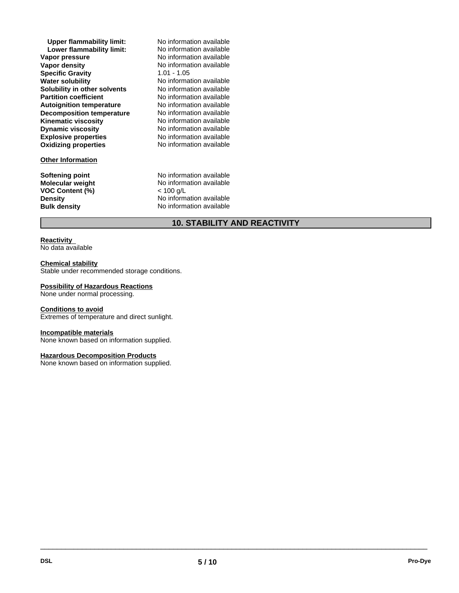**Explosive properties**<br> **Oxidizing properties**<br>
No information available **Oxidizing properties Upper flammability limit:** No information available<br> **Lower flammability limit:** No information available **Lower flammability limit:**<br>Vapor pressure **Vapor pressure**<br> **Vapor density**<br> **Vapor density**<br> **No information available Specific Gravity** 1.01 - 1.05 **Water solubility** No information available **Solubility in other solvents** No information available **Partition coefficient** No information available **Autoignition temperature Decomposition temperature** No information available **Kinematic viscosity** No information available **Dynamic viscosity**

#### **Other Information**

**VOC Content (%)** 

**No information available** No information available No information available

**Softening point**<br> **Molecular weight**<br> **Molecular weight**<br> **Molecular weight**<br> **Molecular weight**<br> **Molecular weight** No information available<br>< 100 g/L **Density Density** No information available<br> **Bulk density No information available No information available** 

## **10. STABILITY AND REACTIVITY**

#### **Reactivity**  No data available

#### **Chemical stability**

Stable under recommended storage conditions.

#### **Possibility of Hazardous Reactions**

None under normal processing.

#### **Conditions to avoid**

Extremes of temperature and direct sunlight.

#### **Incompatible materials**

None known based on information supplied.

#### **Hazardous Decomposition Products**

None known based on information supplied.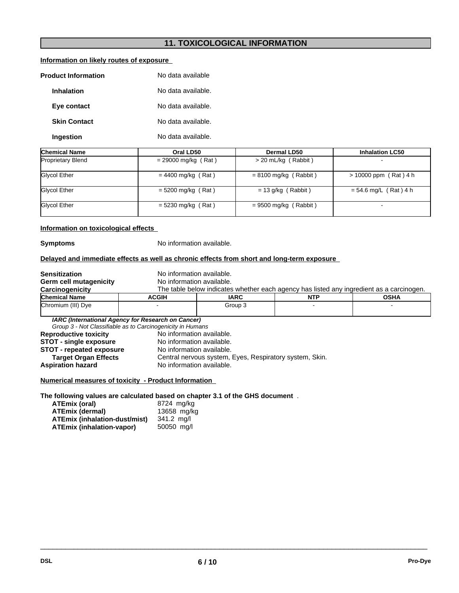## **11. TOXICOLOGICAL INFORMATION**

## **Information on likely routes of exposure**

| <b>Product Information</b> |  | No data available  |
|----------------------------|--|--------------------|
| <b>Inhalation</b>          |  | No data available. |
| Eye contact                |  | No data available. |
| <b>Skin Contact</b>        |  | No data available. |
| Ingestion                  |  | No data available. |

| <b>Chemical Name</b>     | Oral LD50             | Dermal LD50             | <b>Inhalation LC50</b>   |
|--------------------------|-----------------------|-------------------------|--------------------------|
| <b>Proprietary Blend</b> | $= 29000$ mg/kg (Rat) | > 20 mL/kg (Rabbit)     | $\overline{\phantom{a}}$ |
| Glycol Ether             | $= 4400$ mg/kg (Rat)  | $= 8100$ mg/kg (Rabbit) | $> 10000$ ppm (Rat) 4 h  |
| Glycol Ether             | $= 5200$ mg/kg (Rat)  | $= 13$ g/kg (Rabbit)    | $= 54.6$ mg/L (Rat) 4 h  |
| Glycol Ether             | $= 5230$ mg/kg (Rat)  | $= 9500$ mg/kg (Rabbit) | $\blacksquare$           |

#### **Information on toxicological effects**

**Symptoms** No information available.

#### **Delayed and immediate effects as well as chronic effects from short and long-term exposure**

| <b>Sensitization</b>         | No information available.                                  |                                                                                          |  |  |  |  |  |
|------------------------------|------------------------------------------------------------|------------------------------------------------------------------------------------------|--|--|--|--|--|
| Germ cell mutagenicity       | No information available.                                  |                                                                                          |  |  |  |  |  |
| Carcinogenicity              |                                                            | The table below indicates whether each agency has listed any ingredient as a carcinogen. |  |  |  |  |  |
| <b>Chemical Name</b>         | <b>ACGIH</b>                                               | <b>IARC</b><br><b>OSHA</b><br><b>NTP</b>                                                 |  |  |  |  |  |
| Chromium (III) Dye           |                                                            | Group 3                                                                                  |  |  |  |  |  |
|                              |                                                            |                                                                                          |  |  |  |  |  |
|                              | IARC (International Agency for Research on Cancer)         |                                                                                          |  |  |  |  |  |
|                              | Group 3 - Not Classifiable as to Carcinogenicity in Humans |                                                                                          |  |  |  |  |  |
| <b>Reproductive toxicity</b> | No information available.                                  |                                                                                          |  |  |  |  |  |
|                              |                                                            |                                                                                          |  |  |  |  |  |

**STOT - single exposure** No information available.<br> **STOT - repeated exposure** No information available. **STOT - repeated exposure<br>Target Organ Effects Target Organ Effects** Central nervous system, Eyes, Respiratory system, Skin.<br>Aspiration hazard No information available. No information available.

#### **Numerical measures of toxicity - Product Information**

**The following values are calculated based on chapter 3.1 of the GHS document** .

| ATEmix (oral)                 | 8724 mg/kg  |
|-------------------------------|-------------|
| ATEmix (dermal)               | 13658 mg/kg |
| ATEmix (inhalation-dust/mist) | 341.2 ma/l  |
| ATEmix (inhalation-vapor)     | 50050 ma/l  |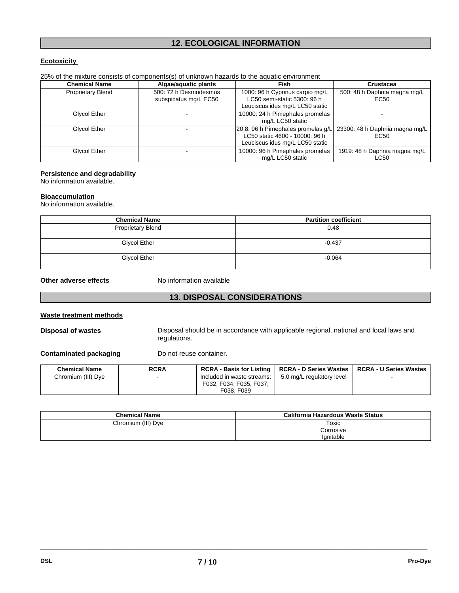## **12. ECOLOGICAL INFORMATION**

### **Ecotoxicity**

| 25% of the mixture consists of components(s) of unknown hazards to the aquatic environment |  |
|--------------------------------------------------------------------------------------------|--|
|--------------------------------------------------------------------------------------------|--|

| <b>Chemical Name</b>     | Algae/aquatic plants                           | <b>Fish</b>                                                                                                                              | <b>Crustacea</b>                      |
|--------------------------|------------------------------------------------|------------------------------------------------------------------------------------------------------------------------------------------|---------------------------------------|
| <b>Proprietary Blend</b> | 500: 72 h Desmodesmus<br>subspicatus mg/L EC50 | 1000: 96 h Cyprinus carpio mg/L<br>LC50 semi-static 5300: 96 h<br>Leuciscus idus mg/L LC50 static                                        | 500: 48 h Daphnia magna mg/L<br>EC50  |
| Glycol Ether             |                                                | 10000: 24 h Pimephales promelas<br>mg/L LC50 static                                                                                      |                                       |
| Glycol Ether             |                                                | [20.8: 96 h Pimephales promelas g/L] 23300: 48 h Daphnia magna mg/L<br>LC50 static 4600 - 10000: 96 h<br>Leuciscus idus mg/L LC50 static | EC50                                  |
| Glycol Ether             |                                                | 10000: 96 h Pimephales promelas<br>mg/L LC50 static                                                                                      | 1919: 48 h Daphnia magna mg/L<br>LC50 |

#### **Persistence and degradability**

No information available.

#### **Bioaccumulation**

No information available.

| <b>Chemical Name</b>     | <b>Partition coefficient</b> |
|--------------------------|------------------------------|
| <b>Proprietary Blend</b> | 0.48                         |
| <b>Glycol Ether</b>      | $-0.437$                     |
| Glycol Ether             | $-0.064$                     |

**Other adverse effects** No information available

## **13. DISPOSAL CONSIDERATIONS**

#### **Waste treatment methods**

**Disposal of wastes** Disposal should be in accordance with applicable regional, national and local laws and regulations.

 $\overline{\phantom{a}}$  ,  $\overline{\phantom{a}}$  ,  $\overline{\phantom{a}}$  ,  $\overline{\phantom{a}}$  ,  $\overline{\phantom{a}}$  ,  $\overline{\phantom{a}}$  ,  $\overline{\phantom{a}}$  ,  $\overline{\phantom{a}}$  ,  $\overline{\phantom{a}}$  ,  $\overline{\phantom{a}}$  ,  $\overline{\phantom{a}}$  ,  $\overline{\phantom{a}}$  ,  $\overline{\phantom{a}}$  ,  $\overline{\phantom{a}}$  ,  $\overline{\phantom{a}}$  ,  $\overline{\phantom{a}}$ 

#### **Contaminated packaging** Do not reuse container.

| <b>Chemical Name</b> | <b>RCRA</b> | RCRA - Basis for Listing   | <b>RCRA - D Series Wastes</b> | <b>RCRA - U Series Wastes</b> |  |
|----------------------|-------------|----------------------------|-------------------------------|-------------------------------|--|
| Chromium (III) Dye   |             | Included in waste streams: | 5.0 mg/L regulatory level     |                               |  |
|                      |             | F032, F034, F035, F037,    |                               |                               |  |
|                      |             | F038, F039                 |                               |                               |  |

| <b>Chemical Name</b> | California Hazardous Waste Status |
|----------------------|-----------------------------------|
| Chromium (III) Dye   | Toxic                             |
|                      | Corrosive                         |
|                      | lanitable                         |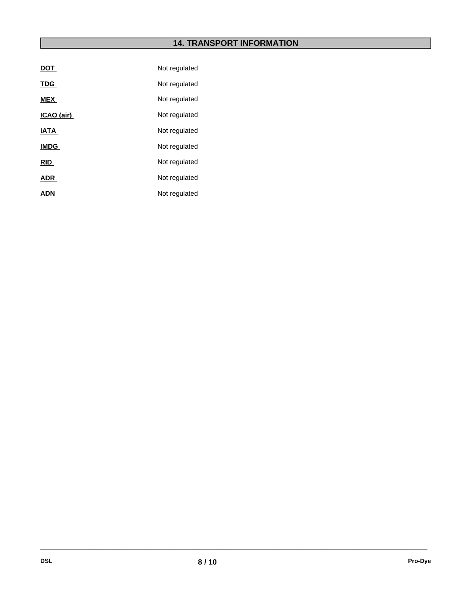# **14. TRANSPORT INFORMATION**

| <u>DOT</u>  | Not regulated |
|-------------|---------------|
| <b>TDG</b>  | Not regulated |
| <b>MEX</b>  | Not regulated |
| ICAO (air)  | Not regulated |
| <b>IATA</b> | Not regulated |
| <b>IMDG</b> | Not regulated |
| <b>RID</b>  | Not regulated |
| <b>ADR</b>  | Not regulated |
| <b>ADN</b>  | Not regulated |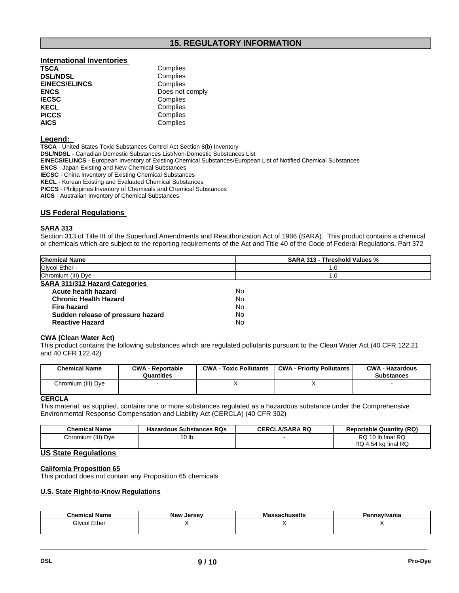## **15. REGULATORY INFORMATION**

# **International Inventories DSL/NDSL** Complies<br> **EINECS/ELINCS** Complies **EINECS/ELINCS**<br>ENCS **IECSC** Complies<br> **IECSC** Complies **KECL Complies**<br> **PICCS** Complies **PICCS** Complies<br> **AICS** Complies

**Complies ENCS** Does not comply **AICS** Complies

#### **Legend:**

**TSCA** - United States Toxic Substances Control Act Section 8(b) Inventory **DSL/NDSL** - Canadian Domestic Substances List/Non-Domestic Substances List **EINECS/ELINCS** - European Inventory of Existing Chemical Substances/European List of Notified Chemical Substances **ENCS** - Japan Existing and New Chemical Substances **IECSC** - China Inventory of Existing Chemical Substances **KECL** - Korean Existing and Evaluated Chemical Substances **PICCS** - Philippines Inventory of Chemicals and Chemical Substances

**AICS** - Australian Inventory of Chemical Substances

#### **US Federal Regulations**

#### **SARA 313**

Section 313 of Title III of the Superfund Amendments and Reauthorization Act of 1986 (SARA). This product contains a chemical or chemicals which are subject to the reporting requirements of the Act and Title 40 of the Code of Federal Regulations, Part 372

| <b>Chemical Name</b>                  | <b>SARA 313 - Threshold Values %</b> |
|---------------------------------------|--------------------------------------|
| Glycol Ether -                        | 1.0                                  |
| Chromium (III) Dye -                  | 1.0                                  |
| <b>SARA 311/312 Hazard Categories</b> |                                      |
| Acute health hazard                   | No                                   |
| <b>Chronic Health Hazard</b>          | No                                   |
| <b>Fire hazard</b>                    | No                                   |
| Sudden release of pressure hazard     | No                                   |
| <b>Reactive Hazard</b>                | No                                   |

#### **CWA (Clean Water Act)**

This product contains the following substances which are regulated pollutants pursuant to the Clean Water Act (40 CFR 122.21 and 40 CFR 122.42)

| <b>Chemical Name</b> | <b>CWA - Reportable</b><br>Quantities | <b>CWA - Toxic Pollutants</b> | <b>CWA - Priority Pollutants</b> | <b>CWA - Hazardous</b><br><b>Substances</b> |
|----------------------|---------------------------------------|-------------------------------|----------------------------------|---------------------------------------------|
| Chromium (III) Dye   |                                       |                               |                                  |                                             |

#### **CERCLA**

This material, as supplied, contains one or more substances regulated as a hazardous substance under the Comprehensive Environmental Response Compensation and Liability Act (CERCLA) (40 CFR 302)

| <b>Chemical Name</b>    | <b>Hazardous Substances RQs</b> | <b>CERCLA/SARA RQ</b> | <b>Reportable Quantity (RQ)</b> |
|-------------------------|---------------------------------|-----------------------|---------------------------------|
| ı (III) Dve<br>Chromium | 10 lb                           |                       | RQ<br>10 lb final RQ            |
|                         |                                 |                       | RQ 4.54 kg final RQ             |

## **US State Regulations**

#### **California Proposition 65**

This product does not contain any Proposition 65 chemicals

#### **U.S. State Right-to-Know Regulations**

| <b>Chemical</b><br>∣ Name | <b>Now</b><br><b>Larcay</b><br>JEISE<br>IVC | маснимска | nsylvania |
|---------------------------|---------------------------------------------|-----------|-----------|
| Ether<br>Glvco.           |                                             |           | $\cdot$ . |
|                           |                                             |           |           |